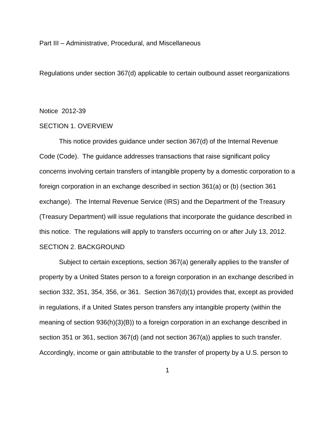Part III – Administrative, Procedural, and Miscellaneous

Regulations under section 367(d) applicable to certain outbound asset reorganizations

Notice 2012-39

## SECTION 1. OVERVIEW

This notice provides guidance under section 367(d) of the Internal Revenue Code (Code). The guidance addresses transactions that raise significant policy concerns involving certain transfers of intangible property by a domestic corporation to a foreign corporation in an exchange described in section 361(a) or (b) (section 361 exchange). The Internal Revenue Service (IRS) and the Department of the Treasury (Treasury Department) will issue regulations that incorporate the guidance described in this notice. The regulations will apply to transfers occurring on or after July 13, 2012. SECTION 2. BACKGROUND

Subject to certain exceptions, section 367(a) generally applies to the transfer of property by a United States person to a foreign corporation in an exchange described in section 332, 351, 354, 356, or 361. Section 367(d)(1) provides that, except as provided in regulations, if a United States person transfers any intangible property (within the meaning of section 936(h)(3)(B)) to a foreign corporation in an exchange described in section 351 or 361, section 367(d) (and not section 367(a)) applies to such transfer. Accordingly, income or gain attributable to the transfer of property by a U.S. person to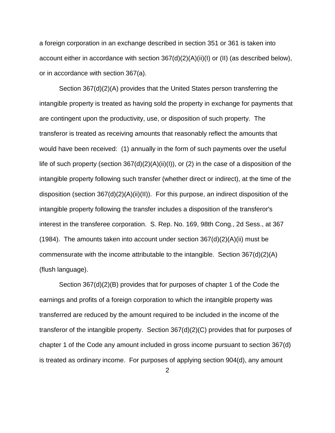a foreign corporation in an exchange described in section 351 or 361 is taken into account either in accordance with section 367(d)(2)(A)(ii)(I) or (II) (as described below), or in accordance with section 367(a).

Section 367(d)(2)(A) provides that the United States person transferring the intangible property is treated as having sold the property in exchange for payments that are contingent upon the productivity, use, or disposition of such property. The transferor is treated as receiving amounts that reasonably reflect the amounts that would have been received: (1) annually in the form of such payments over the useful life of such property (section 367(d)(2)(A)(ii)(I)), or (2) in the case of a disposition of the intangible property following such transfer (whether direct or indirect), at the time of the disposition (section 367(d)(2)(A)(ii)(II)). For this purpose, an indirect disposition of the intangible property following the transfer includes a disposition of the transferor's interest in the transferee corporation. S. Rep. No. 169, 98th Cong., 2d Sess., at 367 (1984). The amounts taken into account under section  $367(d)(2)(A)(ii)$  must be commensurate with the income attributable to the intangible. Section 367(d)(2)(A) (flush language).

Section 367(d)(2)(B) provides that for purposes of chapter 1 of the Code the earnings and profits of a foreign corporation to which the intangible property was transferred are reduced by the amount required to be included in the income of the transferor of the intangible property. Section 367(d)(2)(C) provides that for purposes of chapter 1 of the Code any amount included in gross income pursuant to section 367(d) is treated as ordinary income. For purposes of applying section 904(d), any amount

2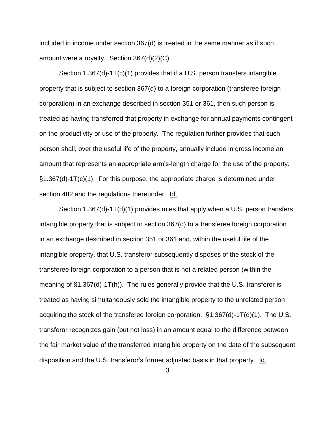included in income under section 367(d) is treated in the same manner as if such amount were a royalty. Section 367(d)(2)(C).

Section 1.367(d)-1T(c)(1) provides that if a U.S. person transfers intangible property that is subject to section 367(d) to a foreign corporation (transferee foreign corporation) in an exchange described in section 351 or 361, then such person is treated as having transferred that property in exchange for annual payments contingent on the productivity or use of the property. The regulation further provides that such person shall, over the useful life of the property, annually include in gross income an amount that represents an appropriate arm's-length charge for the use of the property. §1.367(d)-1T(c)(1). For this purpose, the appropriate charge is determined under section 482 and the regulations thereunder. Id.

Section 1.367(d)-1T(d)(1) provides rules that apply when a U.S. person transfers intangible property that is subject to section 367(d) to a transferee foreign corporation in an exchange described in section 351 or 361 and, within the useful life of the intangible property, that U.S. transferor subsequently disposes of the stock of the transferee foreign corporation to a person that is not a related person (within the meaning of §1.367(d)-1T(h)). The rules generally provide that the U.S. transferor is treated as having simultaneously sold the intangible property to the unrelated person acquiring the stock of the transferee foreign corporation. §1.367(d)-1T(d)(1). The U.S. transferor recognizes gain (but not loss) in an amount equal to the difference between the fair market value of the transferred intangible property on the date of the subsequent disposition and the U.S. transferor's former adjusted basis in that property. Id.

3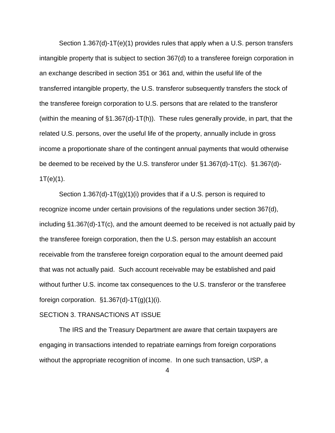Section 1.367(d)-1T(e)(1) provides rules that apply when a U.S. person transfers intangible property that is subject to section 367(d) to a transferee foreign corporation in an exchange described in section 351 or 361 and, within the useful life of the transferred intangible property, the U.S. transferor subsequently transfers the stock of the transferee foreign corporation to U.S. persons that are related to the transferor (within the meaning of §1.367(d)-1T(h)). These rules generally provide, in part, that the related U.S. persons, over the useful life of the property, annually include in gross income a proportionate share of the contingent annual payments that would otherwise be deemed to be received by the U.S. transferor under §1.367(d)-1T(c). §1.367(d)-  $1T(e)(1)$ .

Section 1.367(d)-1T(g)(1)(i) provides that if a U.S. person is required to recognize income under certain provisions of the regulations under section 367(d), including §1.367(d)-1T(c), and the amount deemed to be received is not actually paid by the transferee foreign corporation, then the U.S. person may establish an account receivable from the transferee foreign corporation equal to the amount deemed paid that was not actually paid. Such account receivable may be established and paid without further U.S. income tax consequences to the U.S. transferor or the transferee foreign corporation.  $\S1.367(d) - 1T(g)(1)(i)$ .

### SECTION 3. TRANSACTIONS AT ISSUE

The IRS and the Treasury Department are aware that certain taxpayers are engaging in transactions intended to repatriate earnings from foreign corporations without the appropriate recognition of income. In one such transaction, USP, a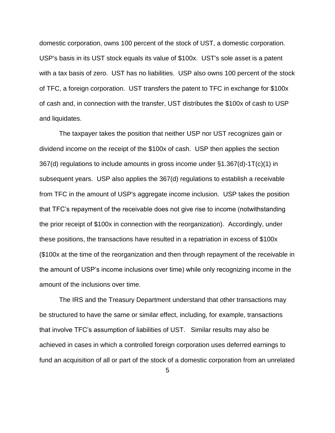domestic corporation, owns 100 percent of the stock of UST, a domestic corporation. USP's basis in its UST stock equals its value of \$100x. UST's sole asset is a patent with a tax basis of zero. UST has no liabilities. USP also owns 100 percent of the stock of TFC, a foreign corporation. UST transfers the patent to TFC in exchange for \$100x of cash and, in connection with the transfer, UST distributes the \$100x of cash to USP and liquidates.

The taxpayer takes the position that neither USP nor UST recognizes gain or dividend income on the receipt of the \$100x of cash. USP then applies the section 367(d) regulations to include amounts in gross income under §1.367(d)-1T(c)(1) in subsequent years. USP also applies the 367(d) regulations to establish a receivable from TFC in the amount of USP's aggregate income inclusion. USP takes the position that TFC's repayment of the receivable does not give rise to income (notwithstanding the prior receipt of \$100x in connection with the reorganization). Accordingly, under these positions, the transactions have resulted in a repatriation in excess of \$100x (\$100x at the time of the reorganization and then through repayment of the receivable in the amount of USP's income inclusions over time) while only recognizing income in the amount of the inclusions over time.

The IRS and the Treasury Department understand that other transactions may be structured to have the same or similar effect, including, for example, transactions that involve TFC's assumption of liabilities of UST. Similar results may also be achieved in cases in which a controlled foreign corporation uses deferred earnings to fund an acquisition of all or part of the stock of a domestic corporation from an unrelated

5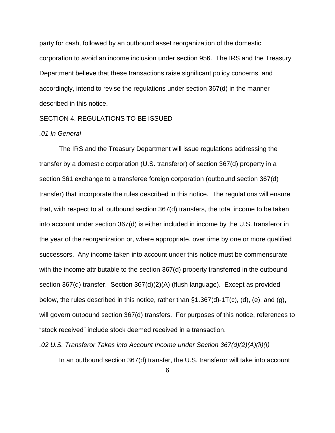party for cash, followed by an outbound asset reorganization of the domestic corporation to avoid an income inclusion under section 956. The IRS and the Treasury Department believe that these transactions raise significant policy concerns, and accordingly, intend to revise the regulations under section 367(d) in the manner described in this notice.

# SECTION 4. REGULATIONS TO BE ISSUED

# *.01 In General*

The IRS and the Treasury Department will issue regulations addressing the transfer by a domestic corporation (U.S. transferor) of section 367(d) property in a section 361 exchange to a transferee foreign corporation (outbound section 367(d) transfer) that incorporate the rules described in this notice. The regulations will ensure that, with respect to all outbound section 367(d) transfers, the total income to be taken into account under section 367(d) is either included in income by the U.S. transferor in the year of the reorganization or, where appropriate, over time by one or more qualified successors. Any income taken into account under this notice must be commensurate with the income attributable to the section 367(d) property transferred in the outbound section 367(d) transfer. Section 367(d)(2)(A) (flush language). Except as provided below, the rules described in this notice, rather than §1.367(d)-1T(c), (d), (e), and (g), will govern outbound section 367(d) transfers. For purposes of this notice, references to "stock received" include stock deemed received in a transaction.

*.02 U.S. Transferor Takes into Account Income under Section 367(d)(2)(A)(ii)(I)*

In an outbound section 367(d) transfer, the U.S. transferor will take into account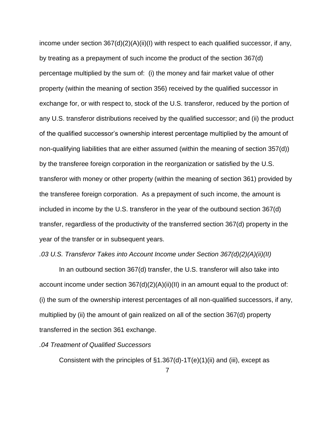income under section  $367(d)(2)(A)(ii)(I)$  with respect to each qualified successor, if any, by treating as a prepayment of such income the product of the section 367(d) percentage multiplied by the sum of: (i) the money and fair market value of other property (within the meaning of section 356) received by the qualified successor in exchange for, or with respect to, stock of the U.S. transferor, reduced by the portion of any U.S. transferor distributions received by the qualified successor; and (ii) the product of the qualified successor's ownership interest percentage multiplied by the amount of non-qualifying liabilities that are either assumed (within the meaning of section 357(d)) by the transferee foreign corporation in the reorganization or satisfied by the U.S. transferor with money or other property (within the meaning of section 361) provided by the transferee foreign corporation. As a prepayment of such income, the amount is included in income by the U.S. transferor in the year of the outbound section 367(d) transfer, regardless of the productivity of the transferred section 367(d) property in the year of the transfer or in subsequent years.

#### *.03 U.S. Transferor Takes into Account Income under Section 367(d)(2)(A)(ii)(II)*

In an outbound section 367(d) transfer, the U.S. transferor will also take into account income under section  $367(d)(2)(A)(ii)(II)$  in an amount equal to the product of: (i) the sum of the ownership interest percentages of all non-qualified successors, if any, multiplied by (ii) the amount of gain realized on all of the section 367(d) property transferred in the section 361 exchange.

## *.04 Treatment of Qualified Successors*

Consistent with the principles of  $\S1.367(d)$ -1T(e)(1)(ii) and (iii), except as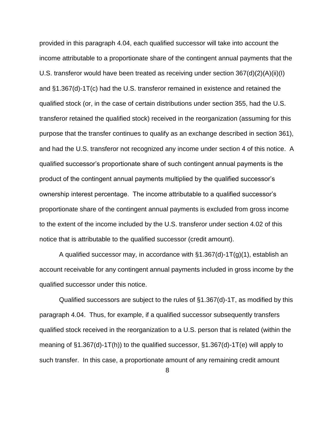provided in this paragraph 4.04, each qualified successor will take into account the income attributable to a proportionate share of the contingent annual payments that the U.S. transferor would have been treated as receiving under section 367(d)(2)(A)(ii)(I) and §1.367(d)-1T(c) had the U.S. transferor remained in existence and retained the qualified stock (or, in the case of certain distributions under section 355, had the U.S. transferor retained the qualified stock) received in the reorganization (assuming for this purpose that the transfer continues to qualify as an exchange described in section 361), and had the U.S. transferor not recognized any income under section 4 of this notice. A qualified successor's proportionate share of such contingent annual payments is the product of the contingent annual payments multiplied by the qualified successor's ownership interest percentage. The income attributable to a qualified successor's proportionate share of the contingent annual payments is excluded from gross income to the extent of the income included by the U.S. transferor under section 4.02 of this notice that is attributable to the qualified successor (credit amount).

A qualified successor may, in accordance with  $\S1.367(d)$ -1T(g)(1), establish an account receivable for any contingent annual payments included in gross income by the qualified successor under this notice.

Qualified successors are subject to the rules of §1.367(d)-1T, as modified by this paragraph 4.04. Thus, for example, if a qualified successor subsequently transfers qualified stock received in the reorganization to a U.S. person that is related (within the meaning of §1.367(d)-1T(h)) to the qualified successor, §1.367(d)-1T(e) will apply to such transfer. In this case, a proportionate amount of any remaining credit amount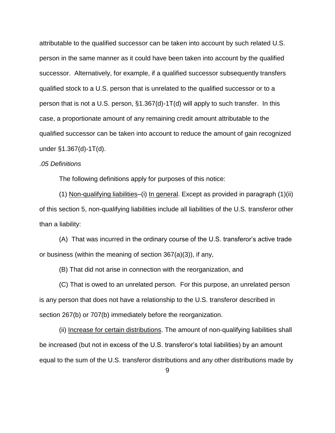attributable to the qualified successor can be taken into account by such related U.S. person in the same manner as it could have been taken into account by the qualified successor. Alternatively, for example, if a qualified successor subsequently transfers qualified stock to a U.S. person that is unrelated to the qualified successor or to a person that is not a U.S. person, §1.367(d)-1T(d) will apply to such transfer. In this case, a proportionate amount of any remaining credit amount attributable to the qualified successor can be taken into account to reduce the amount of gain recognized under §1.367(d)-1T(d).

### .*05 Definitions*

The following definitions apply for purposes of this notice:

(1) Non-qualifying liabilities–(i) In general. Except as provided in paragraph (1)(ii) of this section 5, non-qualifying liabilities include all liabilities of the U.S. transferor other than a liability:

(A) That was incurred in the ordinary course of the U.S. transferor's active trade or business (within the meaning of section 367(a)(3)), if any,

(B) That did not arise in connection with the reorganization, and

(C) That is owed to an unrelated person. For this purpose, an unrelated person is any person that does not have a relationship to the U.S. transferor described in section 267(b) or 707(b) immediately before the reorganization.

(ii) Increase for certain distributions. The amount of non-qualifying liabilities shall be increased (but not in excess of the U.S. transferor's total liabilities) by an amount equal to the sum of the U.S. transferor distributions and any other distributions made by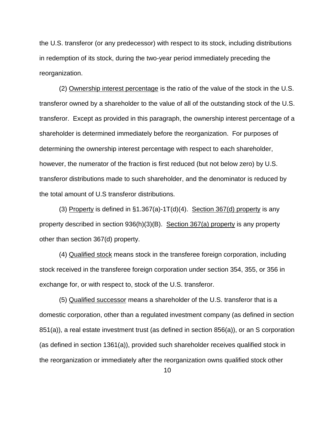the U.S. transferor (or any predecessor) with respect to its stock, including distributions in redemption of its stock, during the two-year period immediately preceding the reorganization.

(2) Ownership interest percentage is the ratio of the value of the stock in the U.S. transferor owned by a shareholder to the value of all of the outstanding stock of the U.S. transferor. Except as provided in this paragraph, the ownership interest percentage of a shareholder is determined immediately before the reorganization. For purposes of determining the ownership interest percentage with respect to each shareholder, however, the numerator of the fraction is first reduced (but not below zero) by U.S. transferor distributions made to such shareholder, and the denominator is reduced by the total amount of U.S transferor distributions.

(3) Property is defined in  $\S1.367(a)$ -1T(d)(4). Section 367(d) property is any property described in section 936(h)(3)(B). Section 367(a) property is any property other than section 367(d) property.

(4) Qualified stock means stock in the transferee foreign corporation, including stock received in the transferee foreign corporation under section 354, 355, or 356 in exchange for, or with respect to, stock of the U.S. transferor.

(5) Qualified successor means a shareholder of the U.S. transferor that is a domestic corporation, other than a regulated investment company (as defined in section 851(a)), a real estate investment trust (as defined in section 856(a)), or an S corporation (as defined in section 1361(a)), provided such shareholder receives qualified stock in the reorganization or immediately after the reorganization owns qualified stock other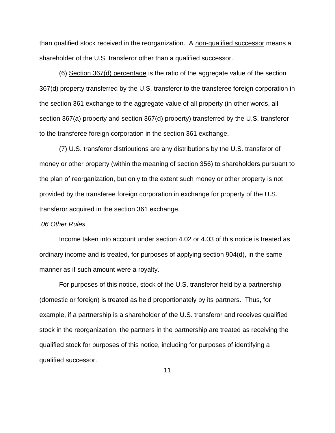than qualified stock received in the reorganization. A non-qualified successor means a shareholder of the U.S. transferor other than a qualified successor.

(6) Section 367(d) percentage is the ratio of the aggregate value of the section 367(d) property transferred by the U.S. transferor to the transferee foreign corporation in the section 361 exchange to the aggregate value of all property (in other words, all section 367(a) property and section 367(d) property) transferred by the U.S. transferor to the transferee foreign corporation in the section 361 exchange.

(7) U.S. transferor distributions are any distributions by the U.S. transferor of money or other property (within the meaning of section 356) to shareholders pursuant to the plan of reorganization, but only to the extent such money or other property is not provided by the transferee foreign corporation in exchange for property of the U.S. transferor acquired in the section 361 exchange.

#### *.06 Other Rules*

Income taken into account under section 4.02 or 4.03 of this notice is treated as ordinary income and is treated, for purposes of applying section 904(d), in the same manner as if such amount were a royalty.

For purposes of this notice, stock of the U.S. transferor held by a partnership (domestic or foreign) is treated as held proportionately by its partners. Thus, for example, if a partnership is a shareholder of the U.S. transferor and receives qualified stock in the reorganization, the partners in the partnership are treated as receiving the qualified stock for purposes of this notice, including for purposes of identifying a qualified successor.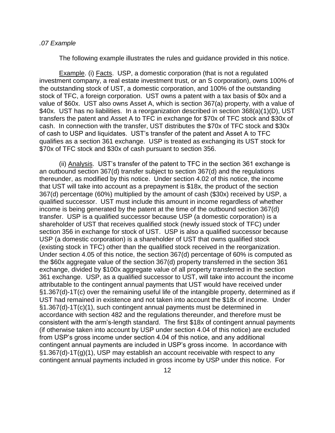#### *.07 Example*

The following example illustrates the rules and guidance provided in this notice.

Example. (i) Facts. USP, a domestic corporation (that is not a regulated investment company, a real estate investment trust, or an S corporation), owns 100% of the outstanding stock of UST, a domestic corporation, and 100% of the outstanding stock of TFC, a foreign corporation. UST owns a patent with a tax basis of \$0x and a value of \$60x. UST also owns Asset A, which is section 367(a) property, with a value of \$40x. UST has no liabilities. In a reorganization described in section 368(a)(1)(D), UST transfers the patent and Asset A to TFC in exchange for \$70x of TFC stock and \$30x of cash. In connection with the transfer, UST distributes the \$70x of TFC stock and \$30x of cash to USP and liquidates. UST's transfer of the patent and Asset A to TFC qualifies as a section 361 exchange. USP is treated as exchanging its UST stock for \$70x of TFC stock and \$30x of cash pursuant to section 356.

(ii) Analysis. UST's transfer of the patent to TFC in the section 361 exchange is an outbound section 367(d) transfer subject to section 367(d) and the regulations thereunder, as modified by this notice. Under section 4.02 of this notice, the income that UST will take into account as a prepayment is \$18x, the product of the section 367(d) percentage (60%) multiplied by the amount of cash (\$30x) received by USP, a qualified successor. UST must include this amount in income regardless of whether income is being generated by the patent at the time of the outbound section 367(d) transfer. USP is a qualified successor because USP (a domestic corporation) is a shareholder of UST that receives qualified stock (newly issued stock of TFC) under section 356 in exchange for stock of UST. USP is also a qualified successor because USP (a domestic corporation) is a shareholder of UST that owns qualified stock (existing stock in TFC) other than the qualified stock received in the reorganization. Under section 4.05 of this notice, the section 367(d) percentage of 60% is computed as the \$60x aggregate value of the section 367(d) property transferred in the section 361 exchange, divided by \$100x aggregate value of all property transferred in the section 361 exchange. USP, as a qualified successor to UST, will take into account the income attributable to the contingent annual payments that UST would have received under §1.367(d)-1T(c) over the remaining useful life of the intangible property, determined as if UST had remained in existence and not taken into account the \$18x of income. Under §1.367(d)-1T(c)(1), such contingent annual payments must be determined in accordance with section 482 and the regulations thereunder, and therefore must be consistent with the arm's-length standard. The first \$18x of contingent annual payments (if otherwise taken into account by USP under section 4.04 of this notice) are excluded from USP's gross income under section 4.04 of this notice, and any additional contingent annual payments are included in USP's gross income. In accordance with §1.367(d)-1T(g)(1), USP may establish an account receivable with respect to any contingent annual payments included in gross income by USP under this notice. For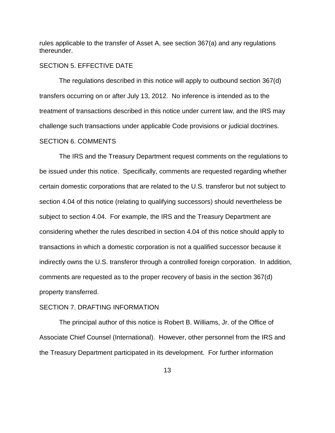rules applicable to the transfer of Asset A, see section 367(a) and any regulations thereunder.

# SECTION 5. EFFECTIVE DATE

The regulations described in this notice will apply to outbound section 367(d) transfers occurring on or after July 13, 2012. No inference is intended as to the treatment of transactions described in this notice under current law, and the IRS may challenge such transactions under applicable Code provisions or judicial doctrines. SECTION 6. COMMENTS

The IRS and the Treasury Department request comments on the regulations to be issued under this notice. Specifically, comments are requested regarding whether certain domestic corporations that are related to the U.S. transferor but not subject to section 4.04 of this notice (relating to qualifying successors) should nevertheless be subject to section 4.04. For example, the IRS and the Treasury Department are considering whether the rules described in section 4.04 of this notice should apply to transactions in which a domestic corporation is not a qualified successor because it indirectly owns the U.S. transferor through a controlled foreign corporation. In addition, comments are requested as to the proper recovery of basis in the section 367(d) property transferred.

# SECTION 7. DRAFTING INFORMATION

The principal author of this notice is Robert B. Williams, Jr. of the Office of Associate Chief Counsel (International). However, other personnel from the IRS and the Treasury Department participated in its development. For further information